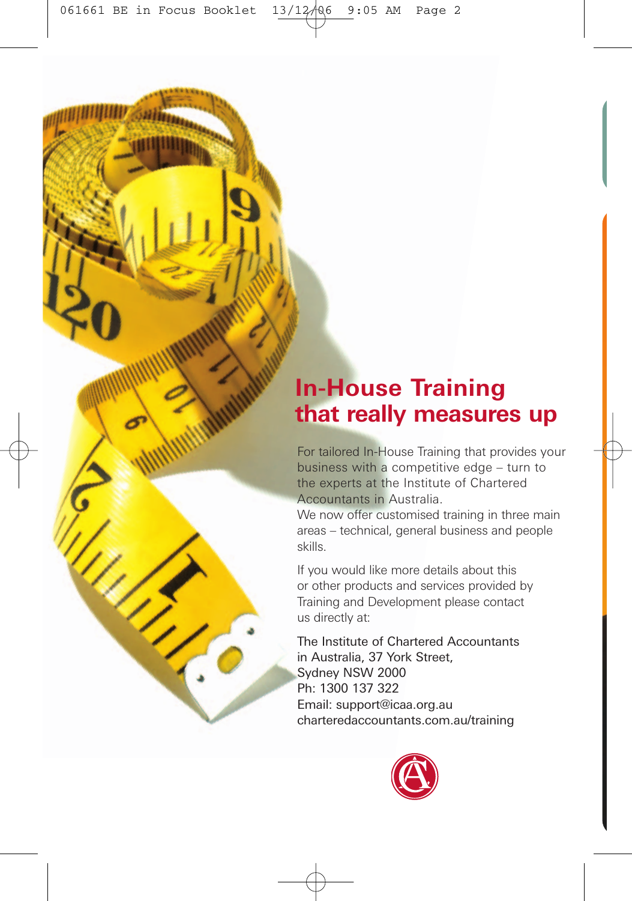# **In-House Training that really measures up**

For tailored In-House Training that provides your business with a competitive edge – turn to the experts at the Institute of Chartered Accountants in Australia.

We now offer customised training in three main areas – technical, general business and people skills.

If you would like more details about this or other products and services provided by Training and Development please contact us directly at:

The Institute of Chartered Accountants in Australia, 37 York Street, Sydney NSW 2000 Ph: 1300 137 322 Email: support@icaa.org.au charteredaccountants.com.au/training

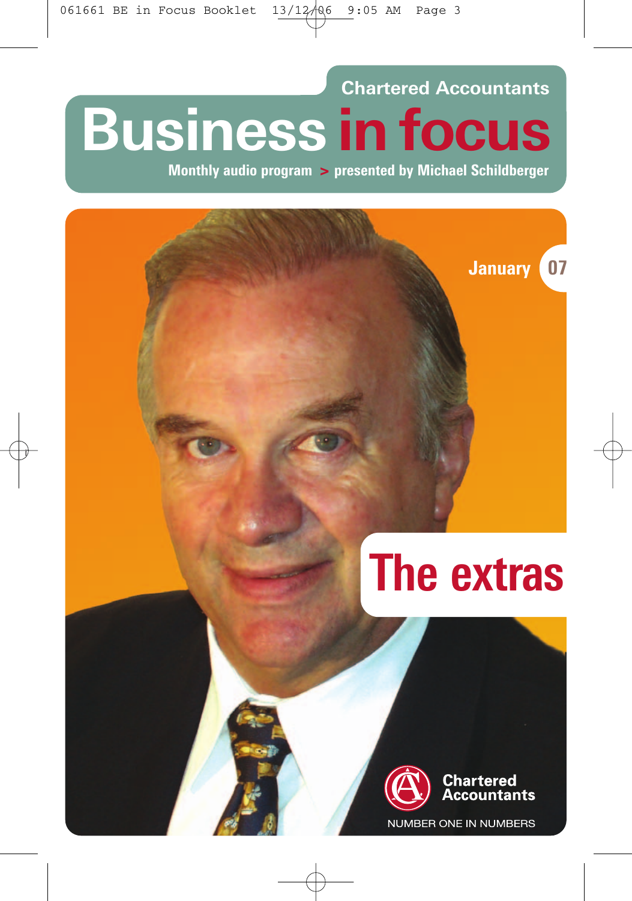**Chartered Accountants Business in focus**

**Monthly audio program > presented by Michael Schildberger**

# **The extras**

**January 07**



Chartered ccountants

NUMBER ONE IN NUMBERS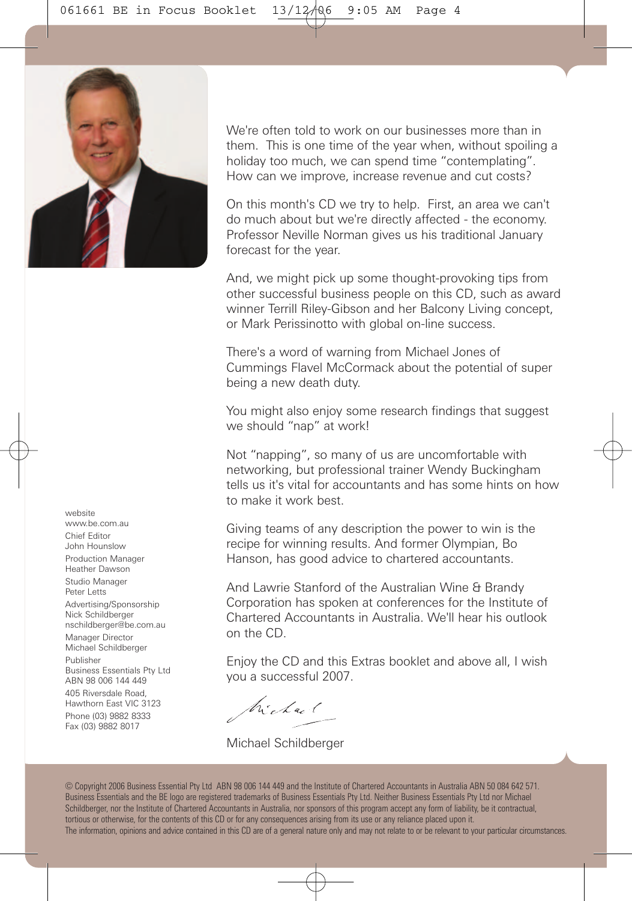

website www.be.com.au Chief Editor John Hounslow Production Manager Heather Dawson Studio Manager Peter Letts Advertising/Sponsorship Nick Schildberger nschildberger@be.com.au Manager Director Michael Schildberger Publisher Business Essentials Pty Ltd ABN 98 006 144 449 405 Riversdale Road, Hawthorn East VIC 3123 Phone (03) 9882 8333 Fax (03) 9882 8017

We're often told to work on our businesses more than in them. This is one time of the year when, without spoiling a holiday too much, we can spend time "contemplating". How can we improve, increase revenue and cut costs?

On this month's CD we try to help. First, an area we can't do much about but we're directly affected - the economy. Professor Neville Norman gives us his traditional January forecast for the year.

And, we might pick up some thought-provoking tips from other successful business people on this CD, such as award winner Terrill Riley-Gibson and her Balcony Living concept, or Mark Perissinotto with global on-line success.

There's a word of warning from Michael Jones of Cummings Flavel McCormack about the potential of super being a new death duty.

You might also enjoy some research findings that suggest we should "nap" at work!

Not "napping", so many of us are uncomfortable with networking, but professional trainer Wendy Buckingham tells us it's vital for accountants and has some hints on how to make it work best.

Giving teams of any description the power to win is the recipe for winning results. And former Olympian, Bo Hanson, has good advice to chartered accountants.

And Lawrie Stanford of the Australian Wine & Brandy Corporation has spoken at conferences for the Institute of Chartered Accountants in Australia. We'll hear his outlook on the CD.

Enjoy the CD and this Extras booklet and above all, I wish you a successful 2007.

Michael

Michael Schildberger

© Copyright 2006 Business Essential Pty Ltd ABN 98 006 144 449 and the Institute of Chartered Accountants in Australia ABN 50 084 642 571. Business Essentials and the BE logo are registered trademarks of Business Essentials Pty Ltd. Neither Business Essentials Pty Ltd nor Michael Schildberger, nor the Institute of Chartered Accountants in Australia, nor sponsors of this program accept any form of liability, be it contractual, tortious or otherwise, for the contents of this CD or for any consequences arising from its use or any reliance placed upon it. The information, opinions and advice contained in this CD are of a general nature only and may not relate to or be relevant to your particular circumstances.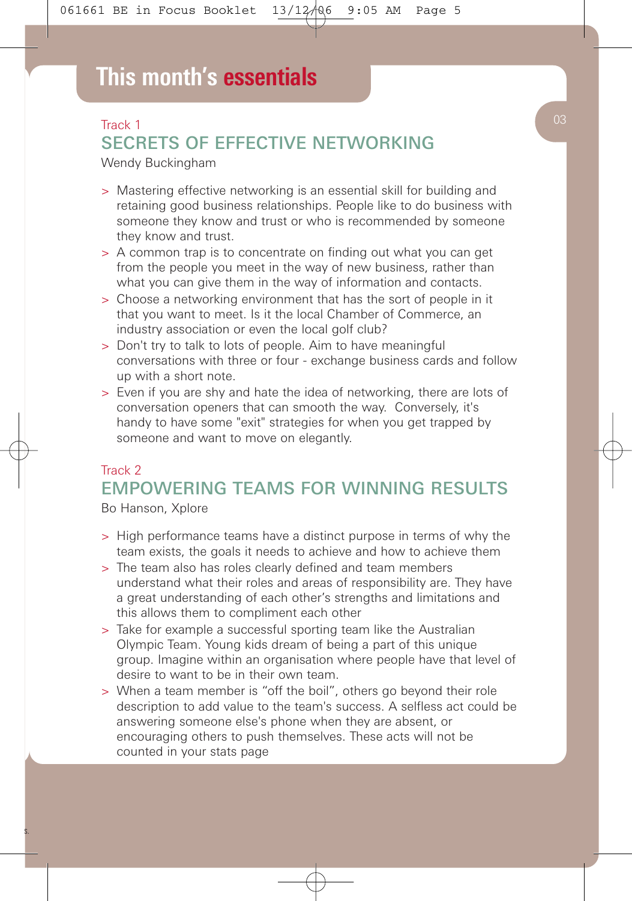# Track 1 SECRETS OF EFFECTIVE NETWORKING

Wendy Buckingham

- > Mastering effective networking is an essential skill for building and retaining good business relationships. People like to do business with someone they know and trust or who is recommended by someone they know and trust.
- > A common trap is to concentrate on finding out what you can get from the people you meet in the way of new business, rather than what you can give them in the way of information and contacts.
- > Choose a networking environment that has the sort of people in it that you want to meet. Is it the local Chamber of Commerce, an industry association or even the local golf club?
- > Don't try to talk to lots of people. Aim to have meaningful conversations with three or four - exchange business cards and follow up with a short note.
- > Even if you are shy and hate the idea of networking, there are lots of conversation openers that can smooth the way. Conversely, it's handy to have some "exit" strategies for when you get trapped by someone and want to move on elegantly.

### Track 2 EMPOWERING TEAMS FOR WINNING RESULTS

Bo Hanson, Xplore

- > High performance teams have a distinct purpose in terms of why the team exists, the goals it needs to achieve and how to achieve them
- > The team also has roles clearly defined and team members understand what their roles and areas of responsibility are. They have a great understanding of each other's strengths and limitations and this allows them to compliment each other
- > Take for example a successful sporting team like the Australian Olympic Team. Young kids dream of being a part of this unique group. Imagine within an organisation where people have that level of desire to want to be in their own team.
- > When a team member is "off the boil", others go beyond their role description to add value to the team's success. A selfless act could be answering someone else's phone when they are absent, or encouraging others to push themselves. These acts will not be counted in your stats page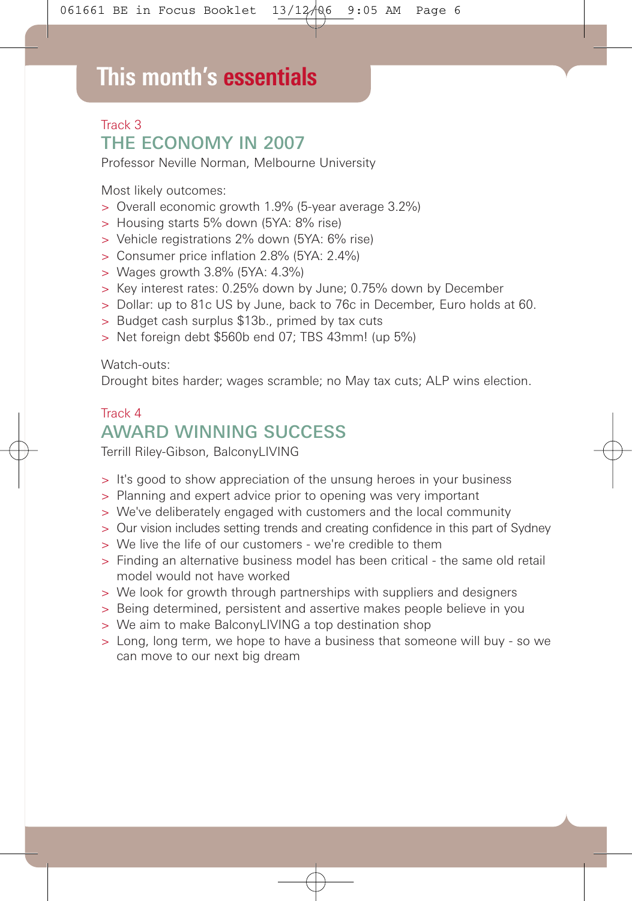# **This month's essentials**

### Track 3 THE ECONOMY IN 2007

Professor Neville Norman, Melbourne University

Most likely outcomes:

- > Overall economic growth 1.9% (5-year average 3.2%)
- > Housing starts 5% down (5YA: 8% rise)
- > Vehicle registrations 2% down (5YA: 6% rise)
- > Consumer price inflation 2.8% (5YA: 2.4%)
- > Wages growth 3.8% (5YA: 4.3%)
- > Key interest rates: 0.25% down by June; 0.75% down by December
- > Dollar: up to 81c US by June, back to 76c in December, Euro holds at 60.
- > Budget cash surplus \$13b., primed by tax cuts
- > Net foreign debt \$560b end 07; TBS 43mm! (up 5%)

Watch-outs:

Drought bites harder; wages scramble; no May tax cuts; ALP wins election.

# Track 4 AWARD WINNING SUCCESS

Terrill Riley-Gibson, BalconyLIVING

- > It's good to show appreciation of the unsung heroes in your business
- > Planning and expert advice prior to opening was very important
- > We've deliberately engaged with customers and the local community
- > Our vision includes setting trends and creating confidence in this part of Sydney
- > We live the life of our customers we're credible to them
- > Finding an alternative business model has been critical the same old retail model would not have worked
- > We look for growth through partnerships with suppliers and designers
- > Being determined, persistent and assertive makes people believe in you
- > We aim to make BalconyLIVING a top destination shop
- > Long, long term, we hope to have a business that someone will buy so we can move to our next big dream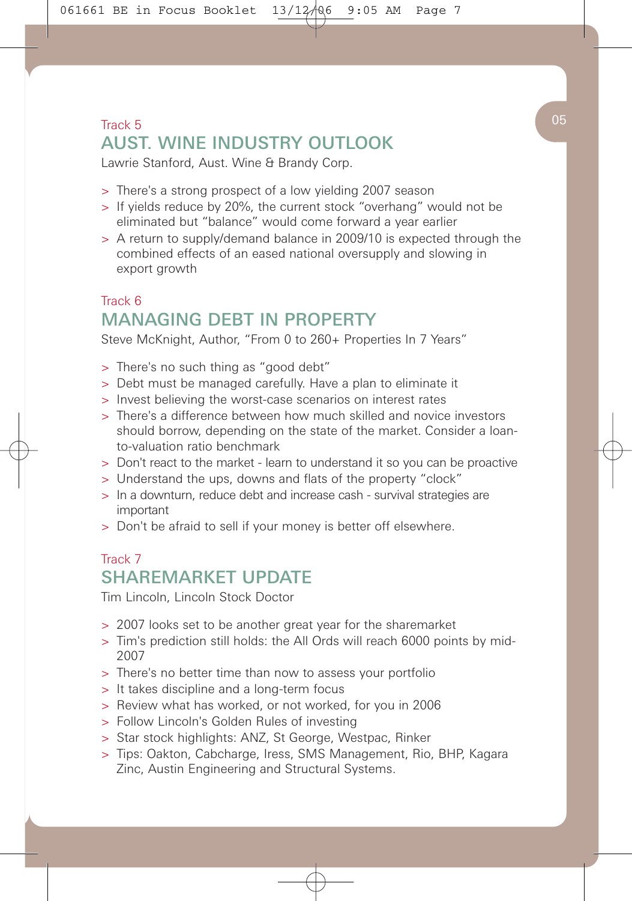# $\Gamma$ rack 5  $\left($  05 AUST. WINE INDUSTRY OUTLOOK

Lawrie Stanford, Aust. Wine & Brandy Corp.

- > There's a strong prospect of a low yielding 2007 season
- > If yields reduce by 20%, the current stock "overhang" would not be eliminated but "balance" would come forward a year earlier
- > A return to supply/demand balance in 2009/10 is expected through the combined effects of an eased national oversupply and slowing in export growth

### Track 6 MANAGING DEBT IN PROPERTY

Steve McKnight, Author, "From 0 to 260+ Properties In 7 Years"

- > There's no such thing as "good debt"
- > Debt must be managed carefully. Have a plan to eliminate it
- > Invest believing the worst-case scenarios on interest rates
- > There's a difference between how much skilled and novice investors should borrow, depending on the state of the market. Consider a loanto-valuation ratio benchmark
- > Don't react to the market learn to understand it so you can be proactive
- > Understand the ups, downs and flats of the property "clock"
- > In a downturn, reduce debt and increase cash survival strategies are important
- > Don't be afraid to sell if your money is better off elsewhere.

### Track 7 SHAREMARKET UPDATE

Tim Lincoln, Lincoln Stock Doctor

- > 2007 looks set to be another great year for the sharemarket
- > Tim's prediction still holds: the All Ords will reach 6000 points by mid-2007
- > There's no better time than now to assess your portfolio
- > It takes discipline and a long-term focus
- > Review what has worked, or not worked, for you in 2006
- > Follow Lincoln's Golden Rules of investing
- > Star stock highlights: ANZ, St George, Westpac, Rinker
- > Tips: Oakton, Cabcharge, Iress, SMS Management, Rio, BHP, Kagara Zinc, Austin Engineering and Structural Systems.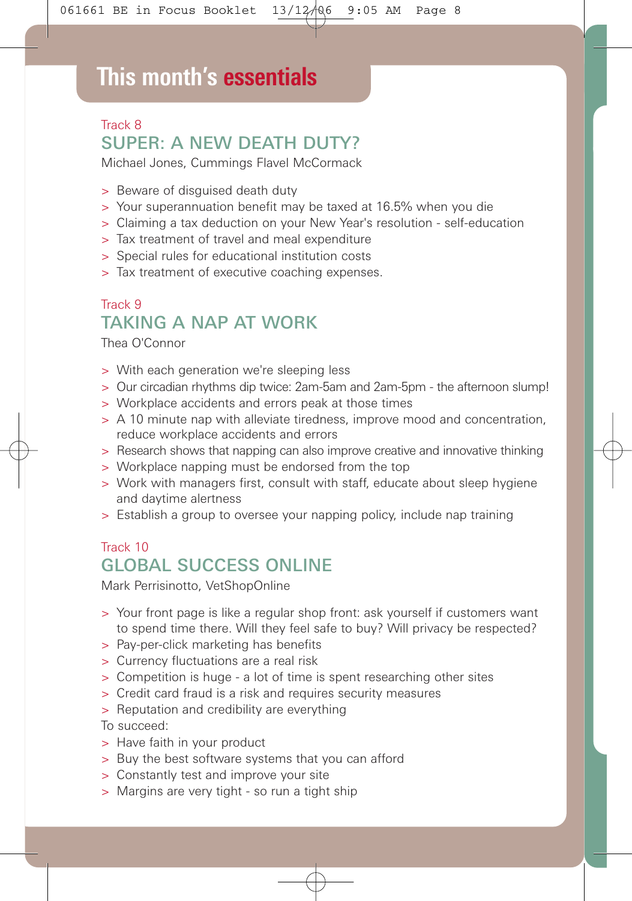# **This month's essentials**

# Track 8 SUPER: A NEW DEATH DUTY?

Michael Jones, Cummings Flavel McCormack

- > Beware of disguised death duty
- > Your superannuation benefit may be taxed at 16.5% when you die
- > Claiming a tax deduction on your New Year's resolution self-education
- > Tax treatment of travel and meal expenditure
- > Special rules for educational institution costs
- > Tax treatment of executive coaching expenses.

### Track 9 TAKING A NAP AT WORK

Thea O'Connor

- > With each generation we're sleeping less
- > Our circadian rhythms dip twice: 2am-5am and 2am-5pm the afternoon slump!
- > Workplace accidents and errors peak at those times
- > A 10 minute nap with alleviate tiredness, improve mood and concentration, reduce workplace accidents and errors
- > Research shows that napping can also improve creative and innovative thinking
- > Workplace napping must be endorsed from the top
- > Work with managers first, consult with staff, educate about sleep hygiene and daytime alertness
- > Establish a group to oversee your napping policy, include nap training

### Track 10 **GLOBAL SUCCESS ONI INF**

Mark Perrisinotto, VetShopOnline

- > Your front page is like a regular shop front: ask yourself if customers want to spend time there. Will they feel safe to buy? Will privacy be respected?
- > Pay-per-click marketing has benefits
- > Currency fluctuations are a real risk
- > Competition is huge a lot of time is spent researching other sites
- > Credit card fraud is a risk and requires security measures
- > Reputation and credibility are everything

To succeed:

- > Have faith in your product
- > Buy the best software systems that you can afford
- > Constantly test and improve your site
- > Margins are very tight so run a tight ship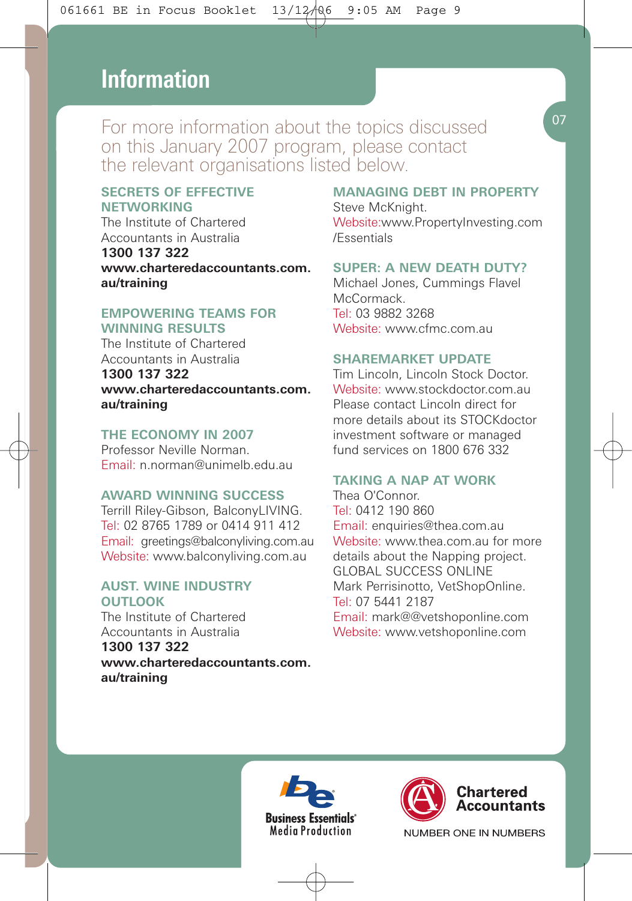# **This month's essentials Information**

For more information about the topics discussed on this January 2007 program, please contact the relevant organisations listed below.

#### **SECRETS OF EFFECTIVE NETWORKING**

The Institute of Chartered Accountants in Australia **1300 137 322 www.charteredaccountants.com. au/training**

#### **EMPOWERING TEAMS FOR WINNING RESULTS**

The Institute of Chartered Accountants in Australia **1300 137 322**

**www.charteredaccountants.com. au/training**

#### **THE ECONOMY IN 2007**

Professor Neville Norman. Email: n.norman@unimelb.edu.au

#### **AWARD WINNING SUCCESS**

Terrill Riley-Gibson, BalconyLIVING. Tel: 02 8765 1789 or 0414 911 412 Email: greetings@balconyliving.com.au Website: www.balconyliving.com.au

#### **AUST. WINE INDUSTRY OUTLOOK**

The Institute of Chartered Accountants in Australia **1300 137 322 www.charteredaccountants.com. au/training**

#### **MANAGING DEBT IN PROPERTY**

Steve McKnight. Website:www.PropertyInvesting.com /Essentials

#### **SUPER: A NEW DEATH DUTY?**

Michael Jones, Cummings Flavel **McCormack** Tel: 03 9882 3268 Website: www.cfmc.com.au

#### **SHAREMARKET UPDATE**

Tim Lincoln, Lincoln Stock Doctor. Website: www.stockdoctor.com.au Please contact Lincoln direct for more details about its STOCKdoctor investment software or managed fund services on 1800 676 332

#### **TAKING A NAP AT WORK**

Thea O'Connor. Tel: 0412 190 860 Email: enquiries@thea.com.au Website: www.thea.com.au for more details about the Napping project. GLOBAL SUCCESS ONLINE Mark Perrisinotto, VetShopOnline. Tel: 07 5441 2187 Email: mark@@vetshoponline.com Website: www.vetshoponline.com





NUMBER ONE IN NUMBERS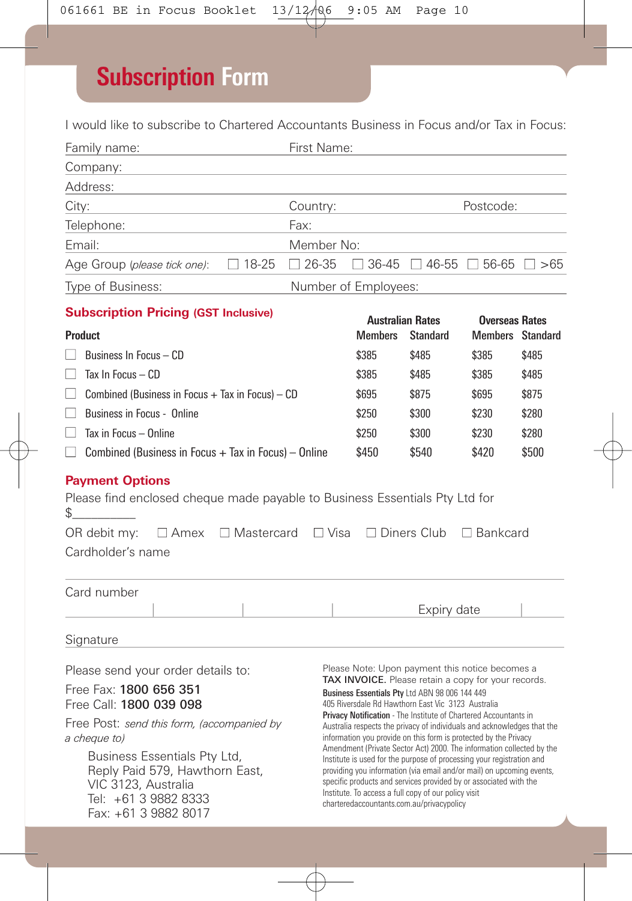# **Subscription Form**

I would like to subscribe to Chartered Accountants Business in Focus and/or Tax in Focus:

| Family name:<br><u> 1990 - Johann Barbara, martin a</u>                                                                                                                                                                                                                                        |                                                                                                                                                                                                                                                                                                                                                                                                                                                                                                                                                                                                                                                                                                                                                                                                                                        | First Name:  |                                                                       |                 |                                                   |  |
|------------------------------------------------------------------------------------------------------------------------------------------------------------------------------------------------------------------------------------------------------------------------------------------------|----------------------------------------------------------------------------------------------------------------------------------------------------------------------------------------------------------------------------------------------------------------------------------------------------------------------------------------------------------------------------------------------------------------------------------------------------------------------------------------------------------------------------------------------------------------------------------------------------------------------------------------------------------------------------------------------------------------------------------------------------------------------------------------------------------------------------------------|--------------|-----------------------------------------------------------------------|-----------------|---------------------------------------------------|--|
| Company:                                                                                                                                                                                                                                                                                       |                                                                                                                                                                                                                                                                                                                                                                                                                                                                                                                                                                                                                                                                                                                                                                                                                                        |              |                                                                       |                 |                                                   |  |
| Address:                                                                                                                                                                                                                                                                                       |                                                                                                                                                                                                                                                                                                                                                                                                                                                                                                                                                                                                                                                                                                                                                                                                                                        |              |                                                                       |                 |                                                   |  |
| City:<br>the control of the control of the control of the control of                                                                                                                                                                                                                           |                                                                                                                                                                                                                                                                                                                                                                                                                                                                                                                                                                                                                                                                                                                                                                                                                                        |              | Country:<br>Postcode:<br>the control of the control of the control of |                 |                                                   |  |
| Telephone:<br>the control of the control of the control of                                                                                                                                                                                                                                     | Fax:                                                                                                                                                                                                                                                                                                                                                                                                                                                                                                                                                                                                                                                                                                                                                                                                                                   |              |                                                                       |                 |                                                   |  |
| Email:                                                                                                                                                                                                                                                                                         |                                                                                                                                                                                                                                                                                                                                                                                                                                                                                                                                                                                                                                                                                                                                                                                                                                        | Member No:   |                                                                       |                 |                                                   |  |
| Age Group (please tick one):                                                                                                                                                                                                                                                                   | $\Box$ 18-25                                                                                                                                                                                                                                                                                                                                                                                                                                                                                                                                                                                                                                                                                                                                                                                                                           | $\Box$ 26-35 |                                                                       |                 | $\Box$ 36-45 $\Box$ 46-55 $\Box$ 56-65 $\Box$ >65 |  |
| Type of Business:<br>Number of Employees:                                                                                                                                                                                                                                                      |                                                                                                                                                                                                                                                                                                                                                                                                                                                                                                                                                                                                                                                                                                                                                                                                                                        |              |                                                                       |                 |                                                   |  |
| <b>Subscription Pricing (GST Inclusive)</b>                                                                                                                                                                                                                                                    |                                                                                                                                                                                                                                                                                                                                                                                                                                                                                                                                                                                                                                                                                                                                                                                                                                        |              |                                                                       |                 |                                                   |  |
| <b>Product</b>                                                                                                                                                                                                                                                                                 |                                                                                                                                                                                                                                                                                                                                                                                                                                                                                                                                                                                                                                                                                                                                                                                                                                        |              | <b>Australian Rates</b><br><b>Members</b>                             | <b>Standard</b> | <b>Overseas Rates</b><br><b>Members</b> Standard  |  |
| Business In Focus - CD                                                                                                                                                                                                                                                                         | \$385                                                                                                                                                                                                                                                                                                                                                                                                                                                                                                                                                                                                                                                                                                                                                                                                                                  | \$485        | \$385                                                                 | \$485           |                                                   |  |
| Tax In Focus - CD<br>$\mathbf{L}$                                                                                                                                                                                                                                                              | \$385                                                                                                                                                                                                                                                                                                                                                                                                                                                                                                                                                                                                                                                                                                                                                                                                                                  | \$485        | \$385                                                                 | \$485           |                                                   |  |
| Combined (Business in Focus $+$ Tax in Focus) $-$ CD<br>$\mathsf{L}$                                                                                                                                                                                                                           | \$695                                                                                                                                                                                                                                                                                                                                                                                                                                                                                                                                                                                                                                                                                                                                                                                                                                  | \$875        | \$695                                                                 | \$875           |                                                   |  |
| Business in Focus - Online                                                                                                                                                                                                                                                                     | \$250                                                                                                                                                                                                                                                                                                                                                                                                                                                                                                                                                                                                                                                                                                                                                                                                                                  | \$300        | \$230                                                                 | \$280           |                                                   |  |
| Tax in Focus - Online<br>$\mathsf{L}$                                                                                                                                                                                                                                                          | \$250                                                                                                                                                                                                                                                                                                                                                                                                                                                                                                                                                                                                                                                                                                                                                                                                                                  | \$300        | \$230                                                                 | \$280           |                                                   |  |
| $\Box$ Combined (Business in Focus + Tax in Focus) - Online                                                                                                                                                                                                                                    | \$450                                                                                                                                                                                                                                                                                                                                                                                                                                                                                                                                                                                                                                                                                                                                                                                                                                  | \$540        | \$420                                                                 | \$500           |                                                   |  |
| <b>Payment Options</b><br>Please find enclosed cheque made payable to Business Essentials Pty Ltd for<br>\$<br>$\Box$ Amex $\Box$ Mastercard $\Box$ Visa<br>$\Box$ Diners Club<br>OR debit my:<br>$\Box$ Bankcard<br>Cardholder's name                                                         |                                                                                                                                                                                                                                                                                                                                                                                                                                                                                                                                                                                                                                                                                                                                                                                                                                        |              |                                                                       |                 |                                                   |  |
| Card number                                                                                                                                                                                                                                                                                    |                                                                                                                                                                                                                                                                                                                                                                                                                                                                                                                                                                                                                                                                                                                                                                                                                                        |              |                                                                       |                 |                                                   |  |
|                                                                                                                                                                                                                                                                                                |                                                                                                                                                                                                                                                                                                                                                                                                                                                                                                                                                                                                                                                                                                                                                                                                                                        |              |                                                                       | Expiry date     |                                                   |  |
| Signature                                                                                                                                                                                                                                                                                      |                                                                                                                                                                                                                                                                                                                                                                                                                                                                                                                                                                                                                                                                                                                                                                                                                                        |              |                                                                       |                 |                                                   |  |
| Please send your order details to:<br>Free Fax: 1800 656 351<br>Free Call: 1800 039 098<br>Free Post: send this form, (accompanied by<br>a cheque to)<br>Business Essentials Pty Ltd,<br>Reply Paid 579, Hawthorn East,<br>VIC 3123, Australia<br>Tel: +61 3 9882 8333<br>Fax: +61 3 9882 8017 | Please Note: Upon payment this notice becomes a<br>TAX INVOICE. Please retain a copy for your records.<br>Business Essentials Pty Ltd ABN 98 006 144 449<br>405 Riversdale Rd Hawthorn East Vic 3123 Australia<br>Privacy Notification - The Institute of Chartered Accountants in<br>Australia respects the privacy of individuals and acknowledges that the<br>information you provide on this form is protected by the Privacy<br>Amendment (Private Sector Act) 2000. The information collected by the<br>Institute is used for the purpose of processing your registration and<br>providing you information (via email and/or mail) on upcoming events,<br>specific products and services provided by or associated with the<br>Institute. To access a full copy of our policy visit<br>charteredaccountants.com.au/privacypolicy |              |                                                                       |                 |                                                   |  |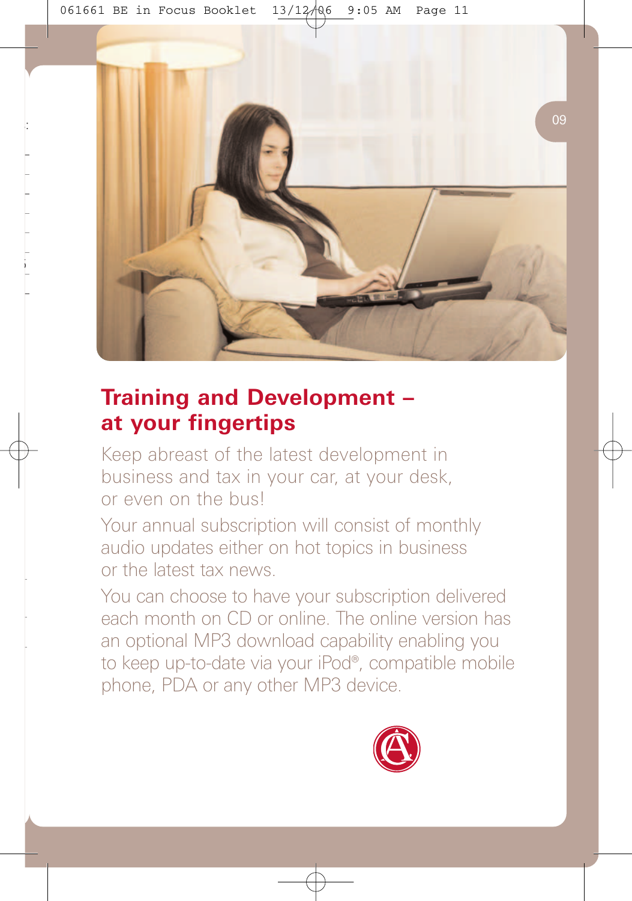

# **Training and Development – at your fingertips**

Keep abreast of the latest development in business and tax in your car, at your desk, or even on the bus!

Your annual subscription will consist of monthly audio updates either on hot topics in business or the latest tax news.

You can choose to have your subscription delivered each month on CD or online. The online version has an optional MP3 download capability enabling you to keep up-to-date via your iPod®, compatible mobile phone, PDA or any other MP3 device.

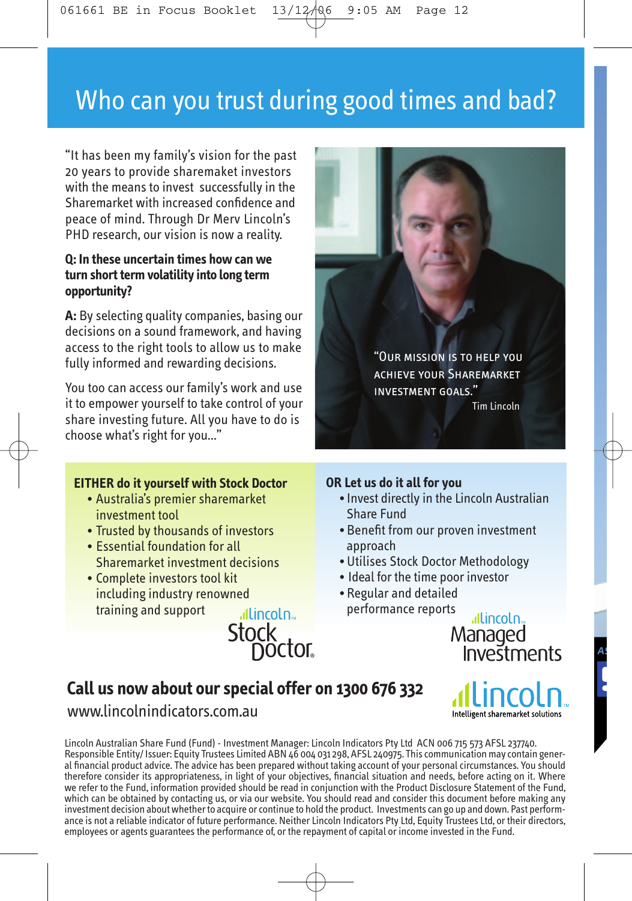# Who can you trust during good times and bad?

"It has been my family's vision for the past 20 years to provide sharemaket investors with the means to invest successfully in the Sharemarket with increased confidence and peace of mind. Through Dr Merv Lincoln's PHD research, our vision is now a reality.

#### **Q: In these uncertain times how can we turn short term volatility into long term opportunity?**

**A:** By selecting quality companies, basing our decisions on a sound framework, and having access to the right tools to allow us to make fully informed and rewarding decisions.

You too can access our family's work and use it to empower yourself to take control of your share investing future. All you have to do is choose what's right for you..."

#### **EITHER do it yourself with Stock Doctor**

- Australia's premier sharemarket investment tool
- Trusted by thousands of investors
- Essential foundation for all Sharemarket investment decisions
- Complete investors tool kit including industry renowned training and support

allincoln... Stock<br>Doctor



#### **OR Let us do it all for you**

- Invest directly in the Lincoln Australian Share Fund
- Benefit from our proven investment approach
- Utilises Stock Doctor Methodology
- Ideal for the time poor investor
- Regular and detailed performance reports

allincoln<sub>®</sub> Managed Investments

# **Call us now about our special offer on 1300 676 332**

www.lincolnindicators.com.au

Lincoln Australian Share Fund (Fund) - Investment Manager: Lincoln Indicators Pty Ltd ACN 006 715 573 AFSL 237740.<br>Responsible Entity/ Issuer: Equity Trustees Limited ABN 46 004 031 298, AFSL 240975. This communication ma al financial product advice. The advice has been prepared without taking account of your personal circumstances. You should therefore consider its appropriateness, in light of your objectives, financial situation and needs, before acting on it. Where<br>we refer to the Fund, information provided should be read in conjunction with the Product Discl which can be obtained by contacting us, or via our website. You should read and consider this document before making any investment decision about whether to acquire or continue to hold the product. Investments can go up and down. Past performance is not a reliable indicator of future performance. Neither Lincoln Indicators Pty Ltd, Equity Trustees Ltd, or their directors, employees or agents guarantees the performance of, or the repayment of capital or income invested in the Fund.